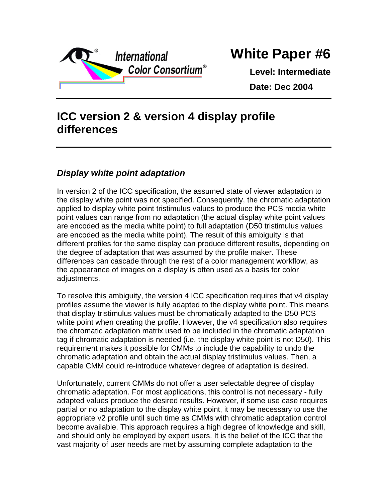

## **White Paper #6**

**Level: Intermediate Date: Dec 2004**

## **ICC version 2 & version 4 display profile differences**

## *Display white point adaptation*

In version 2 of the ICC specification, the assumed state of viewer adaptation to the display white point was not specified. Consequently, the chromatic adaptation applied to display white point tristimulus values to produce the PCS media white point values can range from no adaptation (the actual display white point values are encoded as the media white point) to full adaptation (D50 tristimulus values are encoded as the media white point). The result of this ambiguity is that different profiles for the same display can produce different results, depending on the degree of adaptation that was assumed by the profile maker. These differences can cascade through the rest of a color management workflow, as the appearance of images on a display is often used as a basis for color adjustments.

To resolve this ambiguity, the version 4 ICC specification requires that v4 display profiles assume the viewer is fully adapted to the display white point. This means that display tristimulus values must be chromatically adapted to the D50 PCS white point when creating the profile. However, the v4 specification also requires the chromatic adaptation matrix used to be included in the chromatic adaptation tag if chromatic adaptation is needed (i.e. the display white point is not D50). This requirement makes it possible for CMMs to include the capability to undo the chromatic adaptation and obtain the actual display tristimulus values. Then, a capable CMM could re-introduce whatever degree of adaptation is desired.

Unfortunately, current CMMs do not offer a user selectable degree of display chromatic adaptation. For most applications, this control is not necessary - fully adapted values produce the desired results. However, if some use case requires partial or no adaptation to the display white point, it may be necessary to use the appropriate v2 profile until such time as CMMs with chromatic adaptation control become available. This approach requires a high degree of knowledge and skill, and should only be employed by expert users. It is the belief of the ICC that the vast majority of user needs are met by assuming complete adaptation to the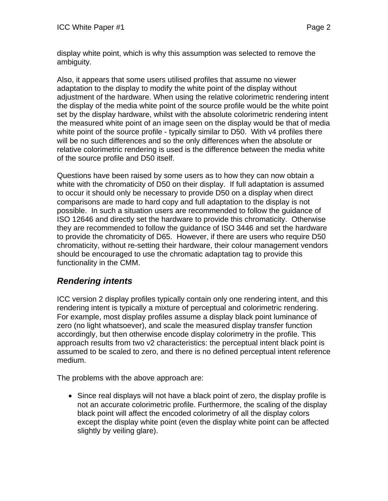display white point, which is why this assumption was selected to remove the ambiguity.

Also, it appears that some users utilised profiles that assume no viewer adaptation to the display to modify the white point of the display without adjustment of the hardware. When using the relative colorimetric rendering intent the display of the media white point of the source profile would be the white point set by the display hardware, whilst with the absolute colorimetric rendering intent the measured white point of an image seen on the display would be that of media white point of the source profile - typically similar to D50. With v4 profiles there will be no such differences and so the only differences when the absolute or relative colorimetric rendering is used is the difference between the media white of the source profile and D50 itself.

Questions have been raised by some users as to how they can now obtain a white with the chromaticity of D50 on their display. If full adaptation is assumed to occur it should only be necessary to provide D50 on a display when direct comparisons are made to hard copy and full adaptation to the display is not possible. In such a situation users are recommended to follow the guidance of ISO 12646 and directly set the hardware to provide this chromaticity. Otherwise they are recommended to follow the guidance of ISO 3446 and set the hardware to provide the chromaticity of D65. However, if there are users who require D50 chromaticity, without re-setting their hardware, their colour management vendors should be encouraged to use the chromatic adaptation tag to provide this functionality in the CMM.

## *Rendering intents*

ICC version 2 display profiles typically contain only one rendering intent, and this rendering intent is typically a mixture of perceptual and colorimetric rendering. For example, most display profiles assume a display black point luminance of zero (no light whatsoever), and scale the measured display transfer function accordingly, but then otherwise encode display colorimetry in the profile. This approach results from two v2 characteristics: the perceptual intent black point is assumed to be scaled to zero, and there is no defined perceptual intent reference medium.

The problems with the above approach are:

• Since real displays will not have a black point of zero, the display profile is not an accurate colorimetric profile. Furthermore, the scaling of the display black point will affect the encoded colorimetry of all the display colors except the display white point (even the display white point can be affected slightly by veiling glare).